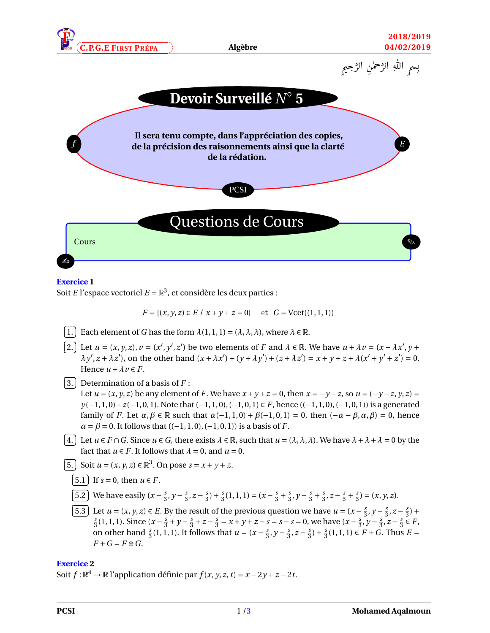





#### **Exercice 1**

Soit *E* l'espace vectoriel  $E = \mathbb{R}^3$ , et considère les deux parties :

$$
F = \{(x, y, z) \in E \mid x + y + z = 0\} \quad \text{et} \quad G = \text{Vect}((1, 1, 1))
$$

✄ ✂ ĺ. 1. Each element of *G* has the form  $\lambda(1, 1, 1) = (\lambda, \lambda, \lambda)$ , where  $\lambda \in \mathbb{R}$ .

- ✄  $\overline{a}$ ĺ. 2. Let  $u = (x, y, z)$ ,  $v = (x', y', z')$  be two elements of F and  $\lambda \in \mathbb{R}$ . We have  $u + \lambda v = (x + \lambda x', y + \lambda y')$  $\lambda y', z + \lambda z'$ , on the other hand  $(x + \lambda x') + (y + \lambda y') + (z + \lambda z') = x + y + z + \lambda (x' + y' + z') = 0$ . Hence  $u + \lambda v \in F$ .
- ✄  $\overline{a}$ ĺ. ✁ 3. Determination of a basis of *F* :

Let  $u = (x, y, z)$  be any element of *F*. We have  $x + y + z = 0$ , then  $x = -y - z$ , so  $u = (-y - z, y, z) =$ *y*(−1, 1, 0) + *z*(−1, 0, 1). Note that (−1, 1, 0), (−1, 0, 1)  $\in$  *F*, hence ((−1, 1, 0), (−1, 0, 1)) is a generated family of *F*. Let  $\alpha, \beta \in \mathbb{R}$  such that  $\alpha(-1, 1, 0) + \beta(-1, 0, 1) = 0$ , then  $(-\alpha - \beta, \alpha, \beta) = 0$ , hence  $\alpha = \beta = 0$ . It follows that  $((-1, 1, 0), (-1, 0, 1))$  is a basis of *F*.

✄  $\overline{a}$ ĺ. ✁ 4. Let *u* ∈ *F* ∩*G*. Since *u* ∈ *G*, there exists *λ* ∈ R, such that *u* = (*λ*,*λ*,*λ*). We have *λ*+*λ*+*λ* = 0 by the fact that  $u \in F$ . It follows that  $\lambda = 0$ , and  $u = 0$ .

✄  $\overline{a}$ ĺ. 5. Soit  $u = (x, y, z) \in \mathbb{R}^3$ . On pose  $s = x + y + z$ .

$$
\overline{5.1} \quad \text{If } s = 0 \text{, then } u \in F.
$$

✄  $\overline{a}$ Ĭ. 5.2 We have easily  $(x - \frac{s}{3})$  $\frac{s}{3}$ ,  $y - \frac{s}{3}$  $\frac{s}{3}$ ,  $z-\frac{s}{3}$  $(\frac{s}{3}) + \frac{s}{3}$  $\frac{s}{3}(1,1,1) = (x - \frac{s}{3})$  $rac{s}{3} + \frac{s}{3}$  $\frac{s}{3}$ ,  $y - \frac{s}{3}$  $rac{s}{3} + \frac{s}{3}$  $\frac{s}{3}$ ,  $z-\frac{s}{3}$  $rac{s}{3} + \frac{s}{3}$  $\frac{s}{3}$ ) = (*x*, *y*, *z*).

✄  $\overline{a}$ Ĭ. 5.3) Let  $u = (x, y, z) \in E$ . By the result of the previous question we have  $u = (x - \frac{5}{3})$  $\frac{s}{3}$ ,  $y - \frac{s}{3}$  $\frac{s}{3}$ ,  $z-\frac{s}{3}$  $\frac{s}{3}$ ) + *s*  $\frac{s}{3}(1,1,1)$ . Since  $(x-\frac{s}{3})$  $\frac{s}{3} + y - \frac{s}{3}$  $\frac{s}{3} + z - \frac{s}{3}$  $\frac{s}{3} = x + y + z - s = s - s = 0$ , we have  $(x - \frac{s}{3})$  $\frac{s}{3}$ ,  $y - \frac{s}{3}$  $\frac{s}{3}$ ,  $z-\frac{s}{3}$  $\frac{s}{3} \in F$ , on other hand  $\frac{s}{3}(1, 1, 1)$ . It follows that  $u = (x - \frac{s}{3})$  $\frac{s}{3}$ ,  $y - \frac{s}{3}$  $\frac{s}{3}$ ,  $z-\frac{s}{3}$  $(\frac{s}{3}) + \frac{s}{3}$  $\frac{s}{3}(1, 1, 1)$  ∈ *F* + *G*. Thus *E* =  $F + G = F \oplus G$ .

### **Exercice 2**

✄  $\overline{a}$ 

Soit  $f: \mathbb{R}^4 \to \mathbb{R}$  l'application définie par  $f(x, y, z, t) = x - 2y + z - 2t$ .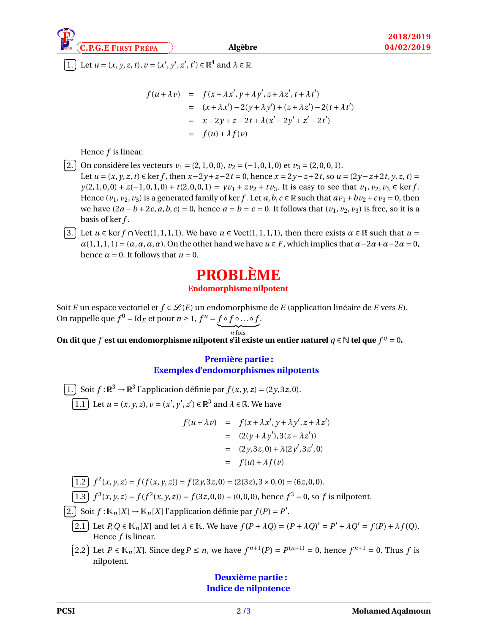**C.P.G.E FIRST <sup>P</sup>RÉPA** ✠ **Algèbre**

✄  $\overline{a}$ ĺ. **1.** Let *u* = (*x*, *y*, *z*, *t*), *v* = (*x*<sup>'</sup>, *y*<sup>'</sup>, *z*<sup>'</sup>, *t*<sup>'</sup>) ∈ ℝ<sup>4</sup> and  $λ ∈ ℝ$ .

$$
f(u + \lambda v) = f(x + \lambda x', y + \lambda y', z + \lambda z', t + \lambda t')
$$
  
=  $(x + \lambda x') - 2(y + \lambda y') + (z + \lambda z') - 2(t + \lambda t')$   
=  $x - 2y + z - 2t + \lambda (x' - 2y' + z' - 2t')$   
=  $f(u) + \lambda f(v)$ 

Hence *f* is linear.

 $\sqrt{a}$  $\overline{a}$ 

✄  $\overline{a}$ 

ĺ. 2. On considère les vecteurs  $v_1 = (2, 1, 0, 0), v_2 = (-1, 0, 1, 0)$  et  $v_3 = (2, 0, 0, 1).$ Let  $u = (x, y, z, t) \in \ker f$ , then  $x - 2y + z - 2t = 0$ , hence  $x = 2y - z + 2t$ , so  $u = (2y - z + 2t, y, z, t) =$ *y*(2, 1, 0, 0) + *z*(-1, 0, 1, 0) + *t*(2, 0, 0, 1) = *yv*<sub>1</sub> + *zv*<sub>2</sub> + *tv*<sub>3</sub>. It is easy to see that *v*<sub>1</sub>, *v*<sub>2</sub>, *v*<sub>3</sub> ∈ ker *f*. Hence  $(v_1, v_2, v_3)$  is a generated family of ker *f*. Let *a*, *b*, *c*  $\in \mathbb{R}$  such that  $av_1 + bv_2 + cv_3 = 0$ , then we have  $(2a - b + 2c, a, b, c) = 0$ , hence  $a = b = c = 0$ . It follows that  $(v_1, v_2, v_3)$  is free, so it is a basis of ker *f* .

✄  $\overline{a}$ ĺ. 3. Let  $u \in \text{ker } f \cap \text{Vect}(1,1,1,1)$ . We have  $u \in \text{Vect}(1,1,1,1)$ , then there exists  $\alpha \in \mathbb{R}$  such that  $u =$  $\alpha(1,1,1,1) = (\alpha, \alpha, \alpha, \alpha)$ . On the other hand we have  $u \in F$ , which implies that  $\alpha - 2\alpha + \alpha - 2\alpha = 0$ , hence  $\alpha = 0$ . It follows that  $u = 0$ .

# **PROBLÈME**

#### **Endomorphisme nilpotent**

Soit *E* un espace vectoriel et  $f \in \mathcal{L}(E)$  un endomorphisme de *E* (application linéaire de *E* vers *E*). On rappelle que  $f^0 = \text{Id}_E$  et pour  $n \ge 1$ ,  $f^n = f \circ f \circ ... \circ f$ .

 $\overline{n}$  fois On dit que *f* est un endomorphisme nilpotent s'il existe un entier naturel  $q \in \mathbb{N}$  tel que  $f^q = 0$ .

# **Première partie : Exemples d'endomorphismes nilpotents**

✄  $\overline{a}$ ĺ. 1. Soit  $f: \mathbb{R}^3 \to \mathbb{R}^3$  l'application définie par  $f(x, y, z) = (2y, 3z, 0)$ . ĩ  $\overline{a}$ Ĭ. <u>1.1</u> Let  $u = (x, y, z), v = (x', y', z') \in \mathbb{R}^3$  and  $\lambda \in \mathbb{R}$ . We have

$$
f(u + \lambda v) = f(x + \lambda x', y + \lambda y', z + \lambda z')
$$
  
= (2(y + \lambda y'), 3(z + \lambda z'))  
= (2y, 3z, 0) + \lambda (2y', 3z', 0)  
= f(u) + \lambda f(v)

[1.2] 
$$
f^2(x, y, z) = f(f(x, y, z)) = f(2y, 3z, 0) = (2(3z), 3 \times 0, 0) = (6z, 0, 0).
$$

$$
\overline{1.3} \quad f^3(x, y, z) = f(f^2(x, y, z)) = f(3z, 0, 0) = (0, 0, 0), \text{ hence } f^3 = 0, \text{ so } f \text{ is nilpotent.}
$$

 $\overline{\mathbb{Q}}$  $\overline{a}$ ī 2.) Soit  $f : \mathbb{K}_n[X] \to \mathbb{K}_n[X]$  l'application définie par  $f(P) = P'$ .

- ĩ  $\overline{a}$ Ĭ. 2.1) Let  $P,Q \in \mathbb{K}_n[X]$  and let  $\lambda \in \mathbb{K}$ . We have  $f(P + \lambda Q) = (P + \lambda Q)' = P' + \lambda Q' = f(P) + \lambda f(Q)$ . Hence *f* is linear.
- ✄  $\overline{a}$ Ĭ. <u>**2.2**</u> Let *P* ∈  $\mathbb{K}_n[X]$ . Since deg*P* ≤ *n*, we have  $f^{n+1}(P) = P^{(n+1)} = 0$ , hence  $f^{n+1} = 0$ . Thus *f* is nilpotent.

## **Deuxième partie : Indice de nilpotence**